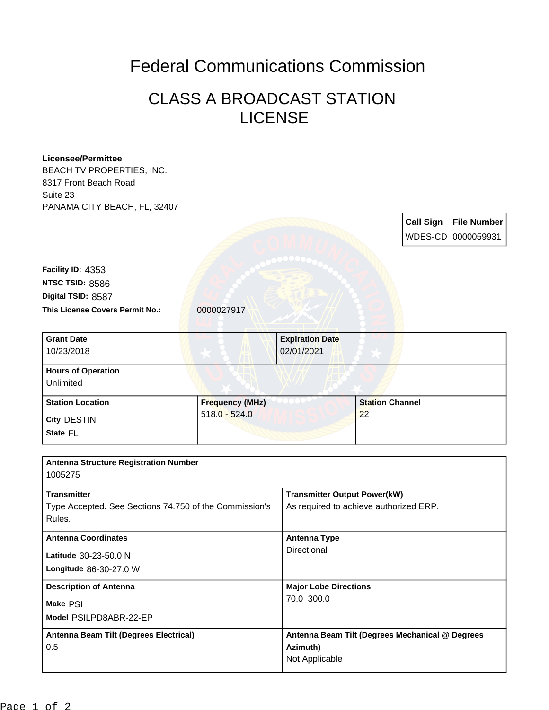## Federal Communications Commission

## CLASS A BROADCAST STATION LICENSE

| <b>Licensee/Permittee</b>                              |                        |                                                 |                        |                  |                    |  |
|--------------------------------------------------------|------------------------|-------------------------------------------------|------------------------|------------------|--------------------|--|
| BEACH TV PROPERTIES, INC.                              |                        |                                                 |                        |                  |                    |  |
| 8317 Front Beach Road                                  |                        |                                                 |                        |                  |                    |  |
| Suite 23                                               |                        |                                                 |                        |                  |                    |  |
| PANAMA CITY BEACH, FL, 32407                           |                        |                                                 |                        |                  |                    |  |
|                                                        |                        |                                                 |                        | <b>Call Sign</b> | <b>File Number</b> |  |
|                                                        |                        |                                                 |                        |                  | WDES-CD 0000059931 |  |
|                                                        |                        |                                                 |                        |                  |                    |  |
| Facility ID: 4353                                      |                        |                                                 |                        |                  |                    |  |
| NTSC TSID: 8586                                        |                        |                                                 |                        |                  |                    |  |
| Digital TSID: 8587                                     |                        |                                                 |                        |                  |                    |  |
| This License Covers Permit No.:                        | 0000027917             |                                                 |                        |                  |                    |  |
|                                                        |                        |                                                 |                        |                  |                    |  |
| <b>Grant Date</b>                                      |                        | <b>Expiration Date</b>                          |                        |                  |                    |  |
| 10/23/2018                                             |                        | 02/01/2021                                      |                        |                  |                    |  |
| <b>Hours of Operation</b>                              |                        |                                                 |                        |                  |                    |  |
| Unlimited                                              |                        |                                                 |                        |                  |                    |  |
| <b>Station Location</b>                                | <b>Frequency (MHz)</b> |                                                 | <b>Station Channel</b> |                  |                    |  |
|                                                        | $518.0 - 524.0$        |                                                 | 22                     |                  |                    |  |
| City DESTIN                                            |                        |                                                 |                        |                  |                    |  |
| State FL                                               |                        |                                                 |                        |                  |                    |  |
|                                                        |                        |                                                 |                        |                  |                    |  |
| <b>Antenna Structure Registration Number</b>           |                        |                                                 |                        |                  |                    |  |
| 1005275                                                |                        |                                                 |                        |                  |                    |  |
| <b>Transmitter</b>                                     |                        | <b>Transmitter Output Power(kW)</b>             |                        |                  |                    |  |
| Type Accepted. See Sections 74.750 of the Commission's |                        | As required to achieve authorized ERP.          |                        |                  |                    |  |
| Rules.                                                 |                        |                                                 |                        |                  |                    |  |
| <b>Antenna Coordinates</b>                             |                        | <b>Antenna Type</b>                             |                        |                  |                    |  |
| Latitude 30-23-50.0 N                                  |                        | Directional                                     |                        |                  |                    |  |
| Longitude 86-30-27.0 W                                 |                        |                                                 |                        |                  |                    |  |
|                                                        |                        |                                                 |                        |                  |                    |  |
| <b>Description of Antenna</b>                          |                        | <b>Major Lobe Directions</b><br>70.0 300.0      |                        |                  |                    |  |
| Make PSI                                               |                        |                                                 |                        |                  |                    |  |
| Model PSILPD8ABR-22-EP                                 |                        |                                                 |                        |                  |                    |  |
| Antenna Beam Tilt (Degrees Electrical)                 |                        | Antenna Beam Tilt (Degrees Mechanical @ Degrees |                        |                  |                    |  |
| 0.5                                                    |                        | Azimuth)                                        |                        |                  |                    |  |
|                                                        |                        | Not Applicable                                  |                        |                  |                    |  |
|                                                        |                        |                                                 |                        |                  |                    |  |